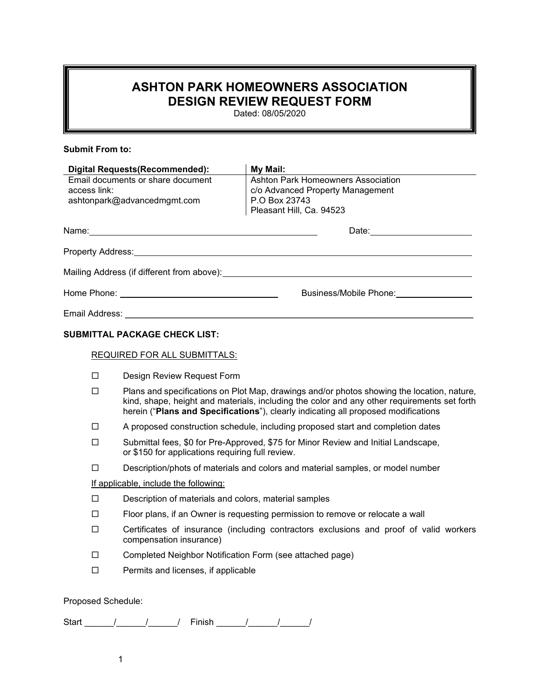## **ASHTON PARK HOMEOWNERS ASSOCIATION DESIGN REVIEW REQUEST FORM**

Dated: 08/05/2020

## **Submit From to:**

| <b>Digital Requests (Recommended):</b> |                                                                                                                                                                                                                                                                                 | My Mail:                                                                                  |  |  |  |
|----------------------------------------|---------------------------------------------------------------------------------------------------------------------------------------------------------------------------------------------------------------------------------------------------------------------------------|-------------------------------------------------------------------------------------------|--|--|--|
| Email documents or share document      |                                                                                                                                                                                                                                                                                 | Ashton Park Homeowners Association                                                        |  |  |  |
| access link:                           |                                                                                                                                                                                                                                                                                 | c/o Advanced Property Management                                                          |  |  |  |
| ashtonpark@advancedmgmt.com            |                                                                                                                                                                                                                                                                                 | P.O Box 23743                                                                             |  |  |  |
|                                        |                                                                                                                                                                                                                                                                                 | Pleasant Hill, Ca. 94523                                                                  |  |  |  |
|                                        | Name: Name: Name: Name: Name: Name: Name: Name: Name: Name: Name: Name: Name: Name: Name: Name: Name: Name: Name: Name: Name: Name: Name: Name: Name: Name: Name: Name: Name: Name: Name: Name: Name: Name: Name: Name: Name:                                                   |                                                                                           |  |  |  |
|                                        |                                                                                                                                                                                                                                                                                 | Property Address: No. 2014 19:00:00 Property Address: No. 2014 19:00:00 Property Address: |  |  |  |
|                                        |                                                                                                                                                                                                                                                                                 |                                                                                           |  |  |  |
|                                        |                                                                                                                                                                                                                                                                                 |                                                                                           |  |  |  |
|                                        |                                                                                                                                                                                                                                                                                 |                                                                                           |  |  |  |
|                                        | <b>SUBMITTAL PACKAGE CHECK LIST:</b>                                                                                                                                                                                                                                            |                                                                                           |  |  |  |
|                                        | <b>REQUIRED FOR ALL SUBMITTALS:</b>                                                                                                                                                                                                                                             |                                                                                           |  |  |  |
| П                                      | Design Review Request Form                                                                                                                                                                                                                                                      |                                                                                           |  |  |  |
| П                                      | Plans and specifications on Plot Map, drawings and/or photos showing the location, nature,<br>kind, shape, height and materials, including the color and any other requirements set forth<br>herein ("Plans and Specifications"), clearly indicating all proposed modifications |                                                                                           |  |  |  |
| □                                      | A proposed construction schedule, including proposed start and completion dates                                                                                                                                                                                                 |                                                                                           |  |  |  |

- Submittal fees, \$0 for Pre-Approved, \$75 for Minor Review and Initial Landscape, or \$150 for applications requiring full review.
- $\square$  Description/phots of materials and colors and material samples, or model number

If applicable, include the following:

- $\square$  Description of materials and colors, material samples
- $\Box$  Floor plans, if an Owner is requesting permission to remove or relocate a wall
- $\Box$  Certificates of insurance (including contractors exclusions and proof of valid workers compensation insurance)
- □ Completed Neighbor Notification Form (see attached page)
- $\square$  Permits and licenses, if applicable

## Proposed Schedule:

Start \_\_\_\_\_\_/\_\_\_\_\_\_/\_\_\_\_\_\_/ Finish \_\_\_\_\_\_/\_\_\_\_\_\_/\_\_\_\_\_\_/

1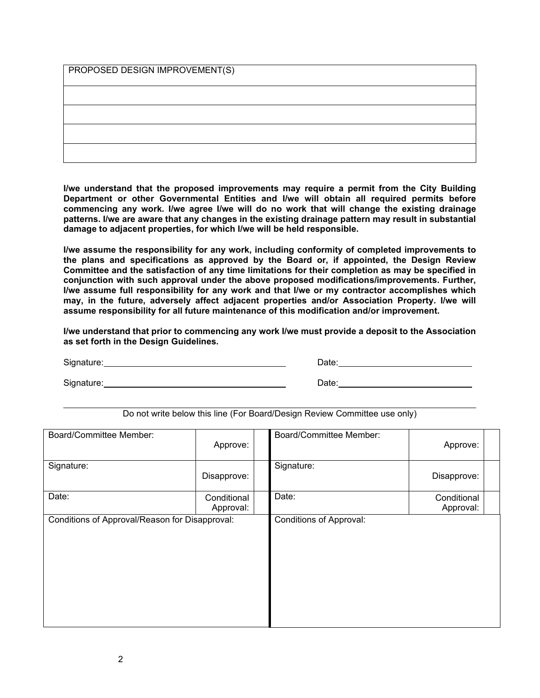PROPOSED DESIGN IMPROVEMENT(S)

**I/we understand that the proposed improvements may require a permit from the City Building Department or other Governmental Entities and I/we will obtain all required permits before commencing any work. I/we agree I/we will do no work that will change the existing drainage patterns. I/we are aware that any changes in the existing drainage pattern may result in substantial damage to adjacent properties, for which I/we will be held responsible.**

**I/we assume the responsibility for any work, including conformity of completed improvements to the plans and specifications as approved by the Board or, if appointed, the Design Review Committee and the satisfaction of any time limitations for their completion as may be specified in conjunction with such approval under the above proposed modifications/improvements. Further, I/we assume full responsibility for any work and that I/we or my contractor accomplishes which may, in the future, adversely affect adjacent properties and/or Association Property. I/we will assume responsibility for all future maintenance of this modification and/or improvement.**

**I/we understand that prior to commencing any work I/we must provide a deposit to the Association as set forth in the Design Guidelines.** 

Signature: Date: Date: Date: Date: Date: Date: Date: Date: Date: Date: Date: Date: Date: Date: Date: Date: Date: Date: Date: Date: Date: Date: Date: Date: Date: Date: Date: Date: Date: Date: Date: Date: Date: Date: Date: D Signature: <u>Conservation Conservation and Conservation Conservation Conservation Conservation Conservation Conservation Conservation Conservation Conservation Conservation Conservation Conservation Conservation Conservatio</u>

Do not write below this line (For Board/Design Review Committee use only)

| <b>Board/Committee Member:</b>                 | Approve:                 |  | <b>Board/Committee Member:</b> | Approve:                 |  |
|------------------------------------------------|--------------------------|--|--------------------------------|--------------------------|--|
| Signature:                                     | Disapprove:              |  | Signature:                     | Disapprove:              |  |
| Date:                                          | Conditional<br>Approval: |  | Date:                          | Conditional<br>Approval: |  |
| Conditions of Approval/Reason for Disapproval: |                          |  | <b>Conditions of Approval:</b> |                          |  |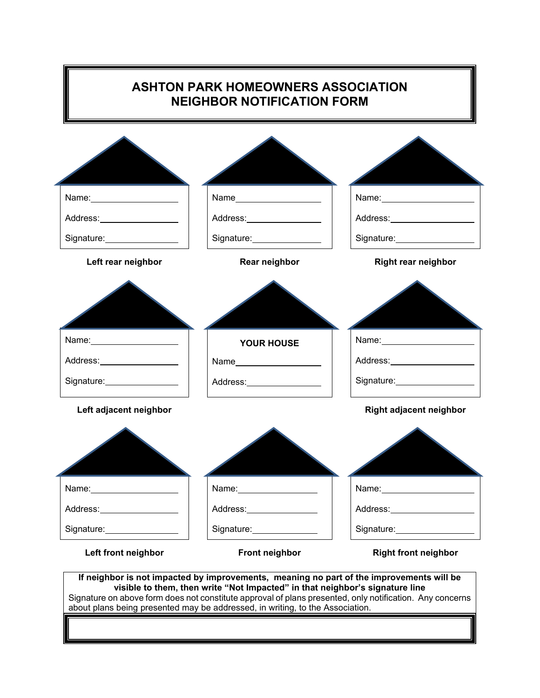| <b>ASHTON PARK HOMEOWNERS ASSOCIATION</b><br><b>NEIGHBOR NOTIFICATION FORM</b> |                                                         |                                                                                                                                                                                                                                |  |  |  |  |
|--------------------------------------------------------------------------------|---------------------------------------------------------|--------------------------------------------------------------------------------------------------------------------------------------------------------------------------------------------------------------------------------|--|--|--|--|
|                                                                                |                                                         |                                                                                                                                                                                                                                |  |  |  |  |
|                                                                                | Name <b>_____________________</b>                       | Name: Name:                                                                                                                                                                                                                    |  |  |  |  |
| Address:__________________                                                     | Address: No. 1997                                       | Address: ____________________                                                                                                                                                                                                  |  |  |  |  |
| Signature: View Management Communication                                       | Signature: National Assembly Property                   | Signature: View Management Communication                                                                                                                                                                                       |  |  |  |  |
| Left rear neighbor                                                             | Rear neighbor                                           | <b>Right rear neighbor</b>                                                                                                                                                                                                     |  |  |  |  |
| Name: _______________________<br>Address: No. 1997                             | <b>YOUR HOUSE</b><br>Name <b>____________________</b> _ | Address: No. 1996                                                                                                                                                                                                              |  |  |  |  |
|                                                                                | Address: ____________________                           |                                                                                                                                                                                                                                |  |  |  |  |
| Left adjacent neighbor                                                         |                                                         | <b>Right adjacent neighbor</b>                                                                                                                                                                                                 |  |  |  |  |
| Name: $\sqrt{2\pi i}$                                                          |                                                         |                                                                                                                                                                                                                                |  |  |  |  |
| Address:____________________                                                   | Address: __________________                             | Address: Analysis and the state of the state of the state of the state of the state of the state of the state of the state of the state of the state of the state of the state of the state of the state of the state of the s |  |  |  |  |
| Signature: <u>www.community-organisms</u>                                      | Signature: _______________                              | Signature: View Management Communication                                                                                                                                                                                       |  |  |  |  |
|                                                                                |                                                         | <b>Right front neighbor</b>                                                                                                                                                                                                    |  |  |  |  |

п

 $\blacksquare$ 

about plans being presented may be addressed, in writing, to the Association.